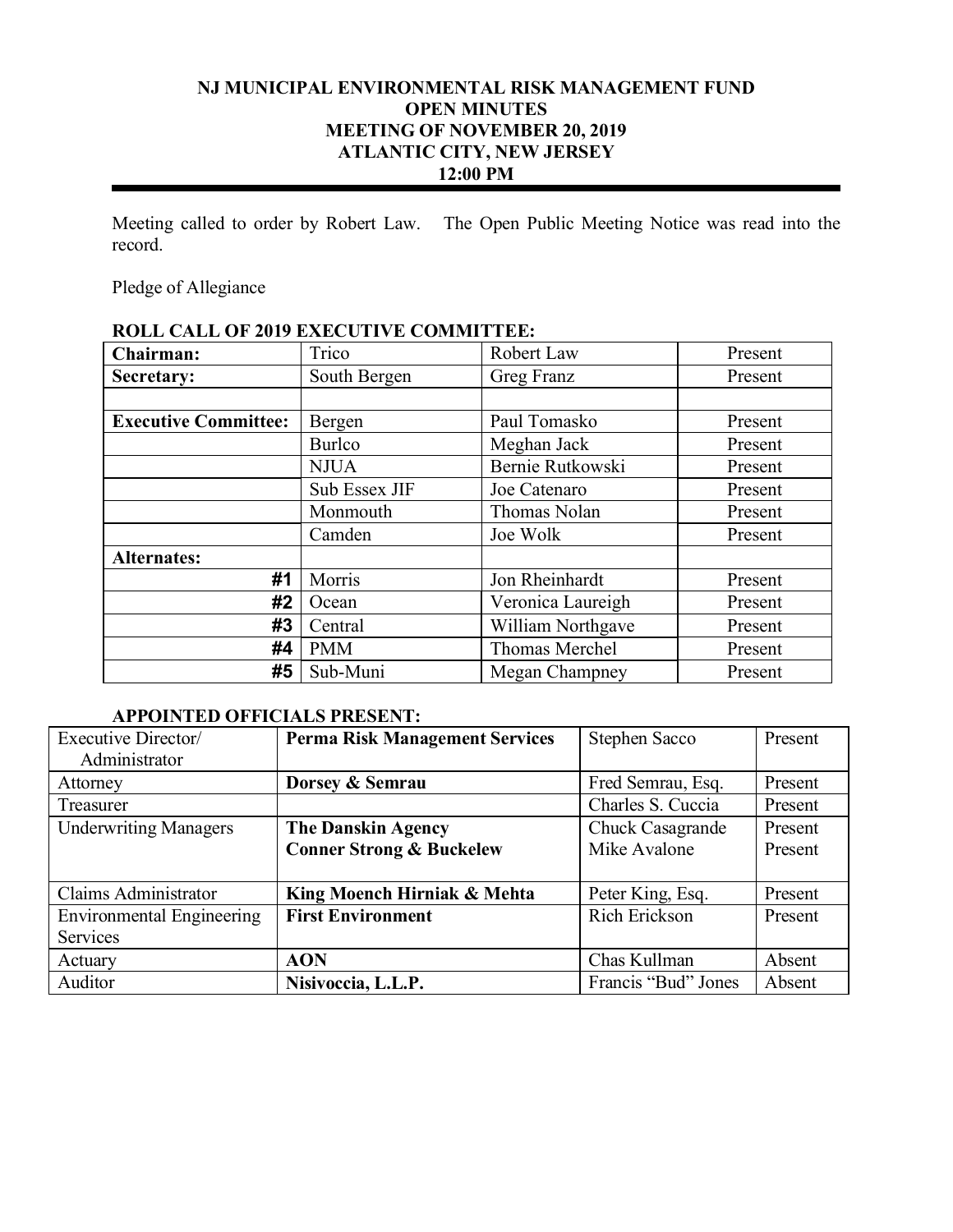# **NJ MUNICIPAL ENVIRONMENTAL RISK MANAGEMENT FUND OPEN MINUTES MEETING OF NOVEMBER 20, 2019 ATLANTIC CITY, NEW JERSEY 12:00 PM**

Meeting called to order by Robert Law. The Open Public Meeting Notice was read into the record.

Pledge of Allegiance

# **ROLL CALL OF 2019 EXECUTIVE COMMITTEE:**

| Chairman:                   | Trico         | Robert Law        | Present |
|-----------------------------|---------------|-------------------|---------|
| Secretary:                  | South Bergen  | Greg Franz        | Present |
|                             |               |                   |         |
| <b>Executive Committee:</b> | Bergen        | Paul Tomasko      | Present |
|                             | <b>Burlco</b> | Meghan Jack       | Present |
|                             | <b>NJUA</b>   | Bernie Rutkowski  | Present |
|                             | Sub Essex JIF | Joe Catenaro      | Present |
|                             | Monmouth      | Thomas Nolan      | Present |
|                             | Camden        | Joe Wolk          | Present |
| <b>Alternates:</b>          |               |                   |         |
| #1                          | Morris        | Jon Rheinhardt    | Present |
| #2                          | Ocean         | Veronica Laureigh | Present |
| #3                          | Central       | William Northgave | Present |
| #4                          | <b>PMM</b>    | Thomas Merchel    | Present |
| #5                          | Sub-Muni      | Megan Champney    | Present |

### **APPOINTED OFFICIALS PRESENT:**

| Executive Director/              | <b>Perma Risk Management Services</b> | Stephen Sacco       | Present |
|----------------------------------|---------------------------------------|---------------------|---------|
| Administrator                    |                                       |                     |         |
| Attorney                         | Dorsey & Semrau                       | Fred Semrau, Esq.   | Present |
| Treasurer                        |                                       | Charles S. Cuccia   | Present |
| <b>Underwriting Managers</b>     | <b>The Danskin Agency</b>             | Chuck Casagrande    | Present |
|                                  | <b>Conner Strong &amp; Buckelew</b>   | Mike Avalone        | Present |
|                                  |                                       |                     |         |
| Claims Administrator             | King Moench Hirniak & Mehta           | Peter King, Esq.    | Present |
| <b>Environmental Engineering</b> | <b>First Environment</b>              | Rich Erickson       | Present |
| <b>Services</b>                  |                                       |                     |         |
| Actuary                          | <b>AON</b>                            | Chas Kullman        | Absent  |
| Auditor                          | Nisivoccia, L.L.P.                    | Francis "Bud" Jones | Absent  |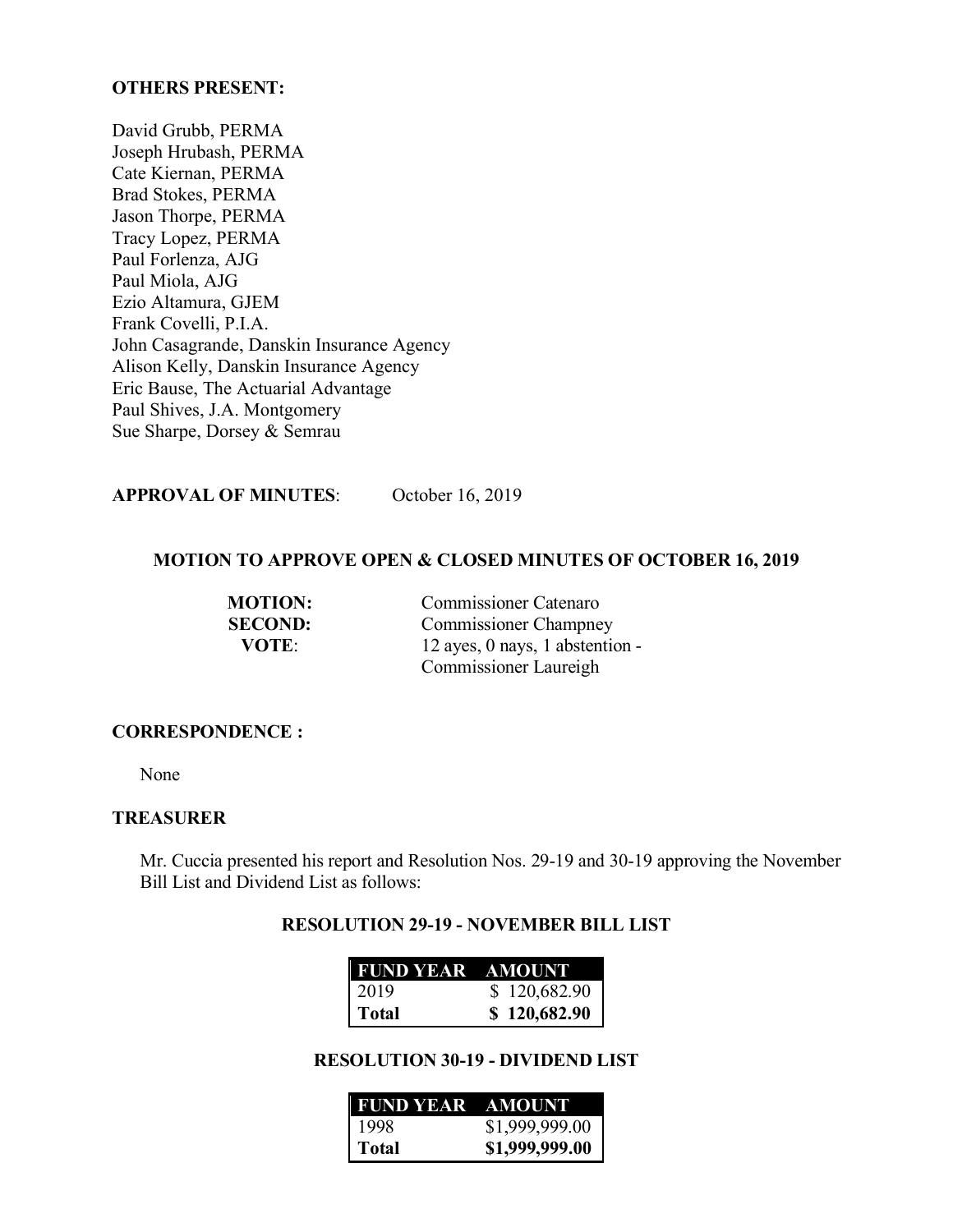#### **OTHERS PRESENT:**

David Grubb, PERMA Joseph Hrubash, PERMA Cate Kiernan, PERMA Brad Stokes, PERMA Jason Thorpe, PERMA Tracy Lopez, PERMA Paul Forlenza, AJG Paul Miola, AJG Ezio Altamura, GJEM Frank Covelli, P.I.A. John Casagrande, Danskin Insurance Agency Alison Kelly, Danskin Insurance Agency Eric Bause, The Actuarial Advantage Paul Shives, J.A. Montgomery Sue Sharpe, Dorsey & Semrau

# **APPROVAL OF MINUTES**: October 16, 2019

#### **MOTION TO APPROVE OPEN & CLOSED MINUTES OF OCTOBER 16, 2019**

| <b>MOTION:</b> | <b>Commissioner Catenaro</b>    |
|----------------|---------------------------------|
| <b>SECOND:</b> | <b>Commissioner Champney</b>    |
| <b>VOTE:</b>   | 12 ayes, 0 nays, 1 abstention - |
|                | Commissioner Laureigh           |

#### **CORRESPONDENCE :**

None

#### **TREASURER**

Mr. Cuccia presented his report and Resolution Nos. 29-19 and 30-19 approving the November Bill List and Dividend List as follows:

#### **RESOLUTION 29-19 - NOVEMBER BILL LIST**

| <b>FUND YEAR AMOUNT</b> |              |
|-------------------------|--------------|
| 2019                    | \$120,682.90 |
| Total                   | \$120,682.90 |

#### **RESOLUTION 30-19 - DIVIDEND LIST**

| <b>FUND YEAR AMOUNT</b> |                |
|-------------------------|----------------|
| 1998                    | \$1,999,999.00 |
| Total                   | \$1,999,999.00 |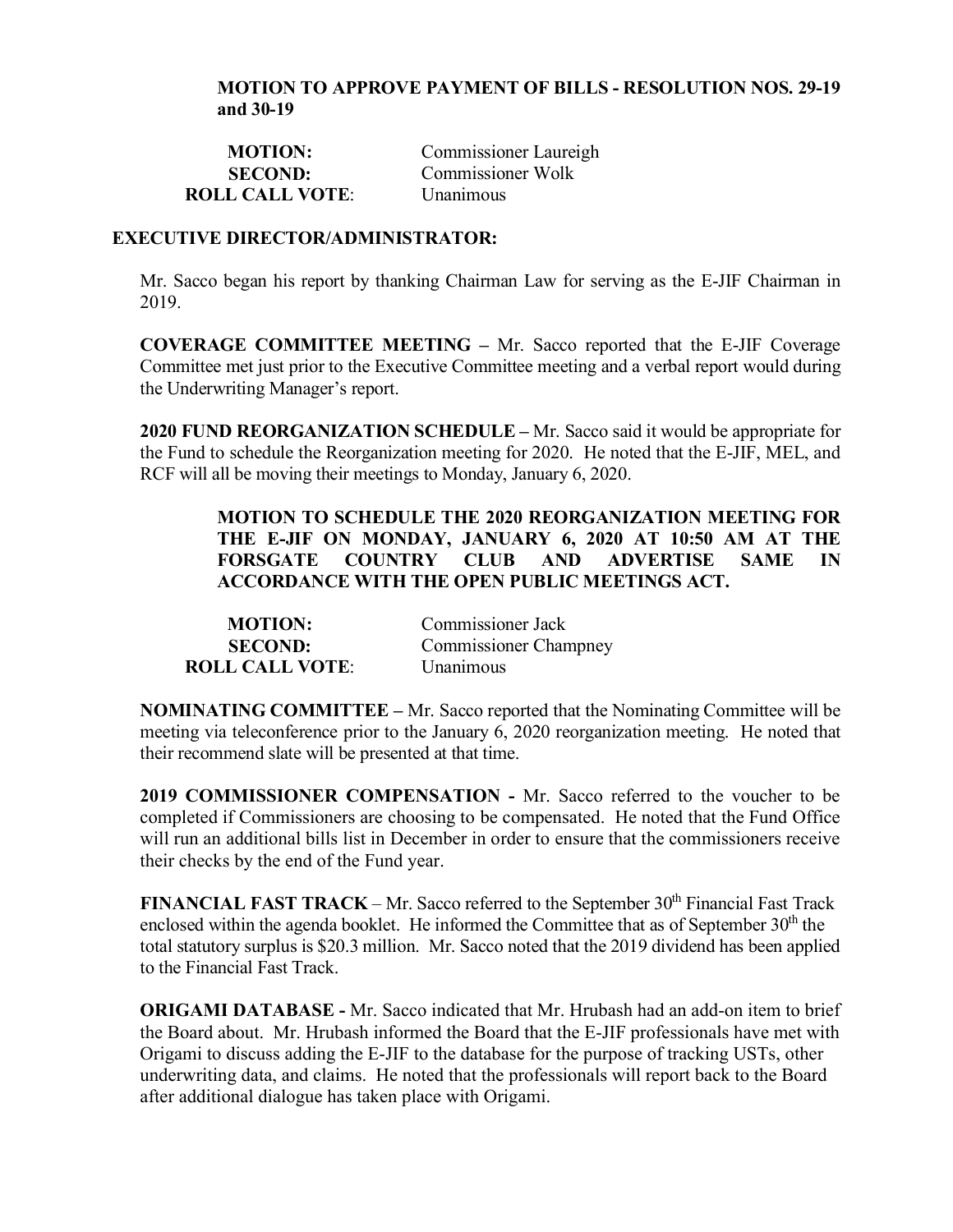#### **MOTION TO APPROVE PAYMENT OF BILLS - RESOLUTION NOS. 29-19 and 30-19**

| <b>MOTION:</b>         | Commissioner Laureigh |
|------------------------|-----------------------|
| <b>SECOND:</b>         | Commissioner Wolk     |
| <b>ROLL CALL VOTE:</b> | <i>Unanimous</i>      |

#### **EXECUTIVE DIRECTOR/ADMINISTRATOR:**

Mr. Sacco began his report by thanking Chairman Law for serving as the E-JIF Chairman in 2019.

**COVERAGE COMMITTEE MEETING –** Mr. Sacco reported that the E-JIF Coverage Committee met just prior to the Executive Committee meeting and a verbal report would during the Underwriting Manager's report.

**2020 FUND REORGANIZATION SCHEDULE –** Mr. Sacco said it would be appropriate for the Fund to schedule the Reorganization meeting for 2020. He noted that the E-JIF, MEL, and RCF will all be moving their meetings to Monday, January 6, 2020.

> **MOTION TO SCHEDULE THE 2020 REORGANIZATION MEETING FOR THE E-JIF ON MONDAY, JANUARY 6, 2020 AT 10:50 AM AT THE FORSGATE COUNTRY CLUB AND ADVERTISE SAME IN ACCORDANCE WITH THE OPEN PUBLIC MEETINGS ACT.**

| <b>MOTION:</b>         | Commissioner Jack            |
|------------------------|------------------------------|
| <b>SECOND:</b>         | <b>Commissioner Champney</b> |
| <b>ROLL CALL VOTE:</b> | <i>Unanimous</i>             |

**NOMINATING COMMITTEE –** Mr. Sacco reported that the Nominating Committee will be meeting via teleconference prior to the January 6, 2020 reorganization meeting. He noted that their recommend slate will be presented at that time.

**2019 COMMISSIONER COMPENSATION -** Mr. Sacco referred to the voucher to be completed if Commissioners are choosing to be compensated. He noted that the Fund Office will run an additional bills list in December in order to ensure that the commissioners receive their checks by the end of the Fund year.

**FINANCIAL FAST TRACK** – Mr. Sacco referred to the September  $30<sup>th</sup>$  Financial Fast Track enclosed within the agenda booklet. He informed the Committee that as of September 30<sup>th</sup> the total statutory surplus is \$20.3 million. Mr. Sacco noted that the 2019 dividend has been applied to the Financial Fast Track.

**ORIGAMI DATABASE -** Mr. Sacco indicated that Mr. Hrubash had an add-on item to brief the Board about. Mr. Hrubash informed the Board that the E-JIF professionals have met with Origami to discuss adding the E-JIF to the database for the purpose of tracking USTs, other underwriting data, and claims. He noted that the professionals will report back to the Board after additional dialogue has taken place with Origami.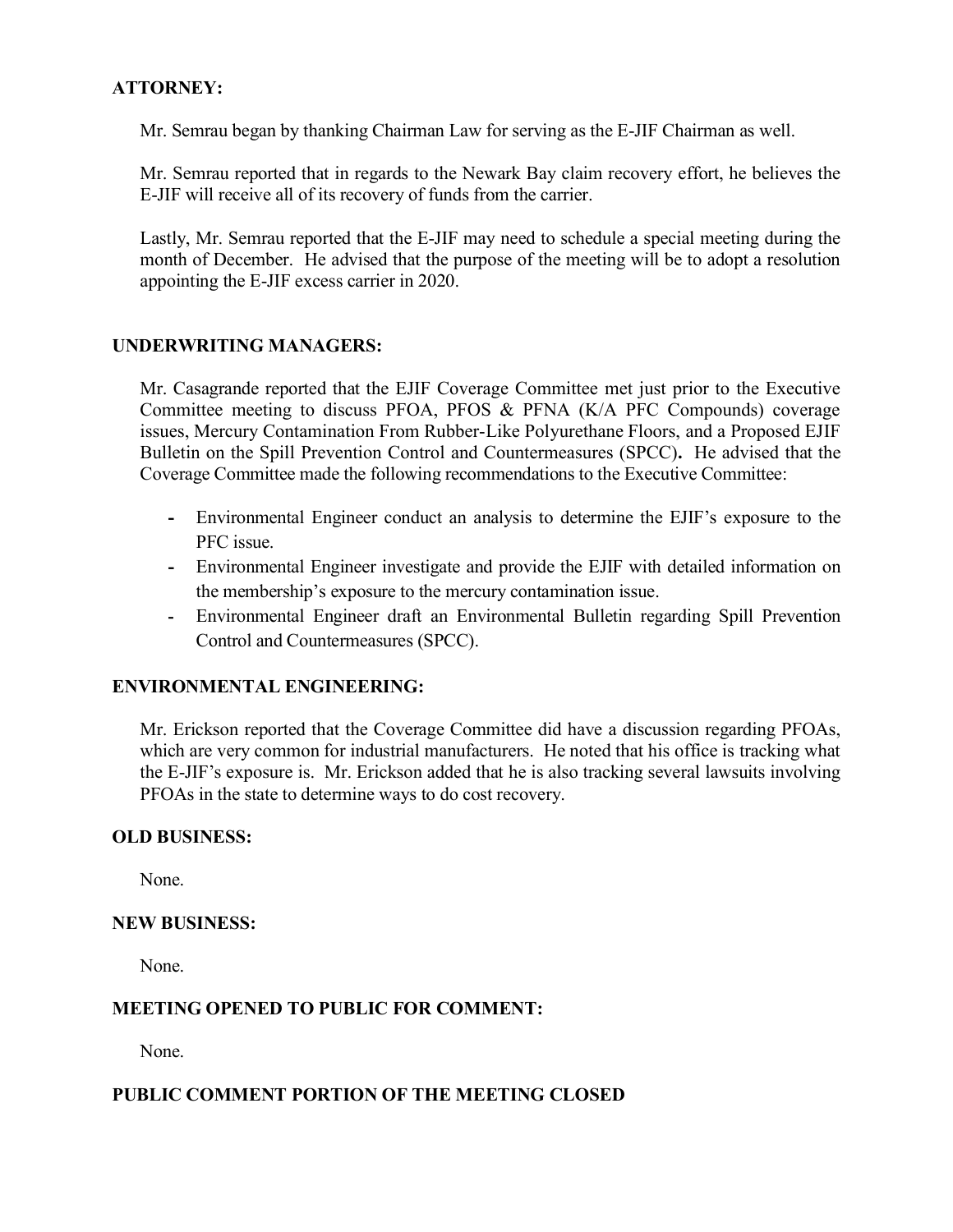# **ATTORNEY:**

Mr. Semrau began by thanking Chairman Law for serving as the E-JIF Chairman as well.

Mr. Semrau reported that in regards to the Newark Bay claim recovery effort, he believes the E-JIF will receive all of its recovery of funds from the carrier.

Lastly, Mr. Semrau reported that the E-JIF may need to schedule a special meeting during the month of December. He advised that the purpose of the meeting will be to adopt a resolution appointing the E-JIF excess carrier in 2020.

### **UNDERWRITING MANAGERS:**

Mr. Casagrande reported that the EJIF Coverage Committee met just prior to the Executive Committee meeting to discuss PFOA, PFOS & PFNA (K/A PFC Compounds) coverage issues, Mercury Contamination From Rubber-Like Polyurethane Floors, and a Proposed EJIF Bulletin on the Spill Prevention Control and Countermeasures (SPCC)**.** He advised that the Coverage Committee made the following recommendations to the Executive Committee:

- **-** Environmental Engineer conduct an analysis to determine the EJIF's exposure to the PFC issue.
- **-** Environmental Engineer investigate and provide the EJIF with detailed information on the membership's exposure to the mercury contamination issue.
- **-** Environmental Engineer draft an Environmental Bulletin regarding Spill Prevention Control and Countermeasures (SPCC).

### **ENVIRONMENTAL ENGINEERING:**

Mr. Erickson reported that the Coverage Committee did have a discussion regarding PFOAs, which are very common for industrial manufacturers. He noted that his office is tracking what the E-JIF's exposure is. Mr. Erickson added that he is also tracking several lawsuits involving PFOAs in the state to determine ways to do cost recovery.

### **OLD BUSINESS:**

None.

### **NEW BUSINESS:**

None.

### **MEETING OPENED TO PUBLIC FOR COMMENT:**

None.

### **PUBLIC COMMENT PORTION OF THE MEETING CLOSED**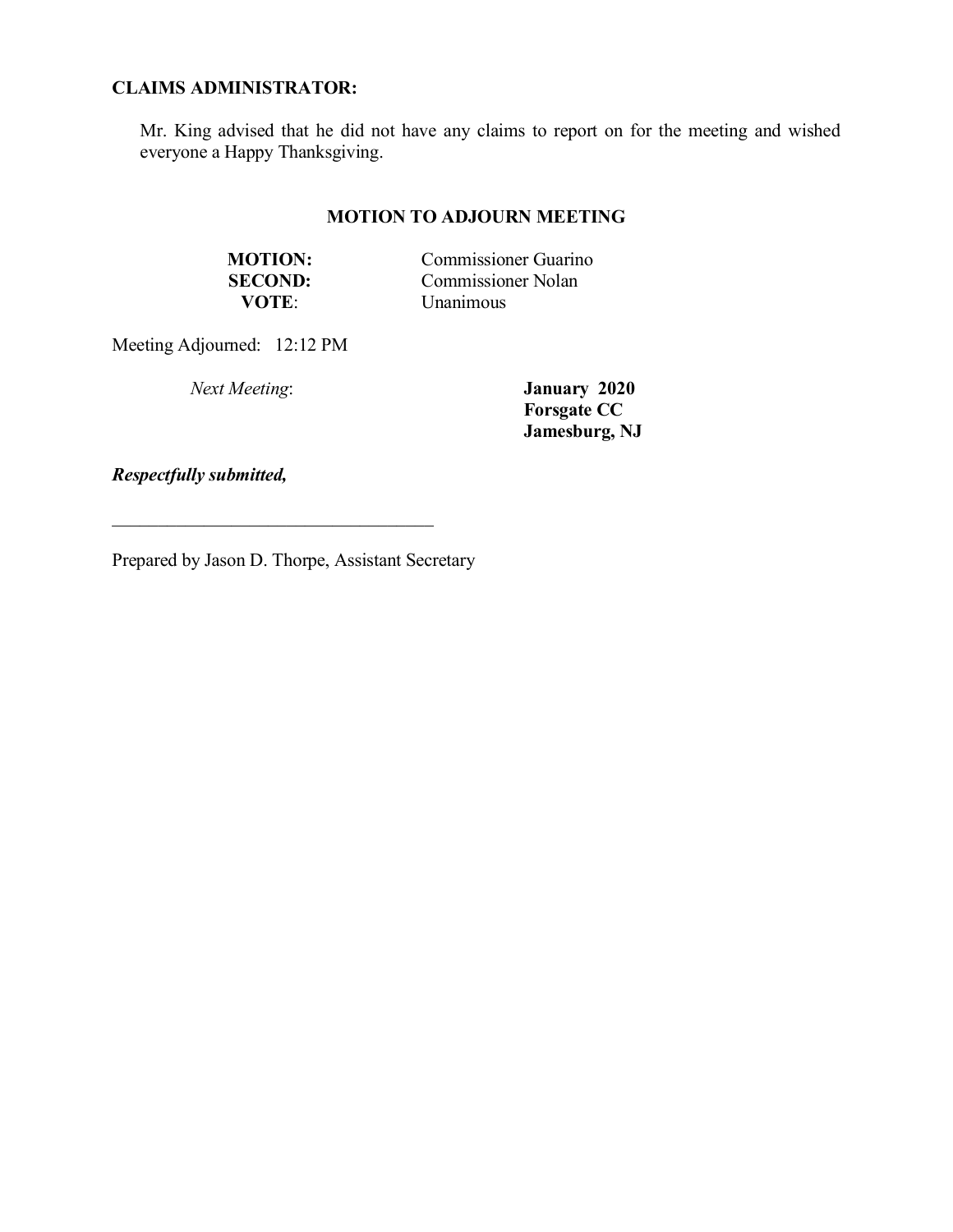# **CLAIMS ADMINISTRATOR:**

Mr. King advised that he did not have any claims to report on for the meeting and wished everyone a Happy Thanksgiving.

# **MOTION TO ADJOURN MEETING**

| <b>MOTION:</b> | <b>Commissioner Guarino</b> |
|----------------|-----------------------------|
| <b>SECOND:</b> | <b>Commissioner Nolan</b>   |
| <b>VOTE</b>    | <i>Unanimous</i>            |

Meeting Adjourned: 12:12 PM

*Next Meeting*: **January 2020 Forsgate CC Jamesburg, NJ**

*Respectfully submitted,*

Prepared by Jason D. Thorpe, Assistant Secretary

 $\mathcal{L}_\text{max}$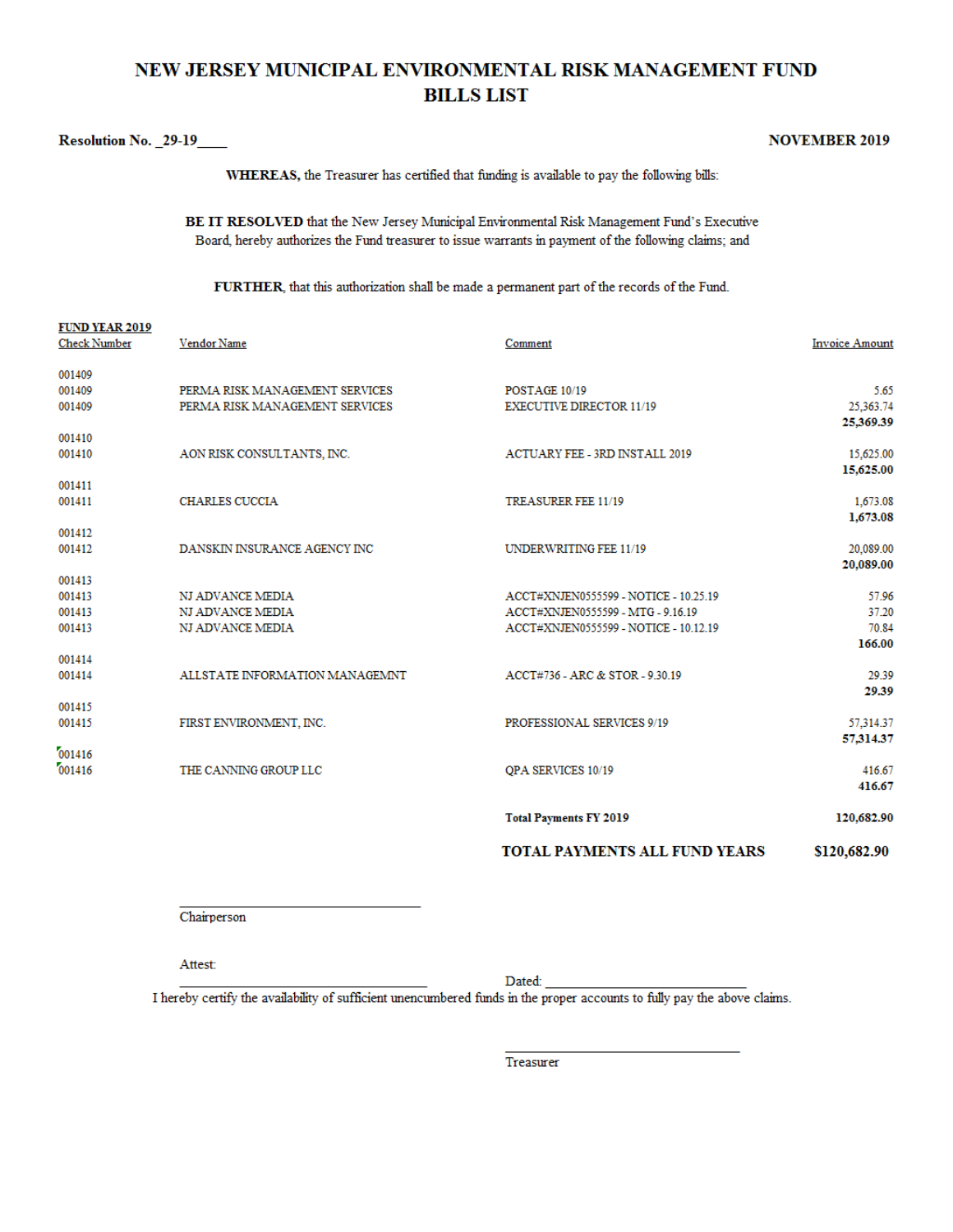# NEW JERSEY MUNICIPAL ENVIRONMENTAL RISK MANAGEMENT FUND **BILLS LIST**

#### Resolution No. \_29-19\_\_\_\_

 $m \overline{n}$  in the said

**NOVEMBER 2019** 

WHEREAS, the Treasurer has certified that funding is available to pay the following bills:

BE IT RESOLVED that the New Jersey Municipal Environmental Risk Management Fund's Executive Board, hereby authorizes the Fund treasurer to issue warrants in payment of the following claims; and

FURTHER, that this authorization shall be made a permanent part of the records of the Fund.

| <b>FUND YEAR 2019</b><br><b>Check Number</b> | Vendor Name                    | Comment                               | <b>Invoice Amount</b>  |
|----------------------------------------------|--------------------------------|---------------------------------------|------------------------|
| 001409                                       |                                |                                       |                        |
| 001409                                       | PERMA RISK MANAGEMENT SERVICES | POSTAGE 10/19                         | 5.65                   |
| 001409                                       | PERMA RISK MANAGEMENT SERVICES | <b>EXECUTIVE DIRECTOR 11/19</b>       | 25,363.74<br>25,369.39 |
| 001410                                       |                                |                                       |                        |
| 001410                                       | AON RISK CONSULTANTS, INC.     | <b>ACTUARY FEE - 3RD INSTALL 2019</b> | 15,625.00<br>15,625.00 |
| 001411                                       |                                |                                       |                        |
| 001411                                       | <b>CHARLES CUCCIA</b>          | TREASURER FEE 11/19                   | 1,673.08<br>1,673.08   |
| 001412                                       |                                |                                       |                        |
| 001412                                       | DANSKIN INSURANCE AGENCY INC   | UNDERWRITING FEE 11/19                | 20,089.00<br>20,089.00 |
| 001413                                       |                                |                                       |                        |
| 001413                                       | NJ ADVANCE MEDIA               | ACCT#XNJEN0555599 - NOTICE - 10.25.19 | 57.96                  |
| 001413                                       | NJ ADVANCE MEDIA               | ACCT#XNJEN0555599 - MTG - 9.16.19     | 37.20                  |
| 001413                                       | NJ ADVANCE MEDIA               | ACCT#XNJEN0555599 - NOTICE - 10.12.19 | 70.84<br>166.00        |
| 001414                                       |                                |                                       |                        |
| 001414                                       | ALLSTATE INFORMATION MANAGEMNT | ACCT#736 - ARC & STOR - 9.30.19       | 29.39<br>29.39         |
| 001415                                       |                                |                                       |                        |
| 001415                                       | FIRST ENVIRONMENT, INC.        | PROFESSIONAL SERVICES 9/19            | 57,314.37              |
| 001416                                       |                                |                                       | 57,314.37              |
| 001416                                       | THE CANNING GROUP LLC          | QPA SERVICES 10/19                    | 416.67                 |
|                                              |                                |                                       | 416.67                 |
|                                              |                                | <b>Total Payments FY 2019</b>         | 120,682.90             |
|                                              |                                | <b>TOTAL PAYMENTS ALL FUND YEARS</b>  | \$120,682.90           |

Chairperson

Attest:

Dated:

I hereby certify the availability of sufficient unencumbered funds in the proper accounts to fully pay the above claims.

Treasurer